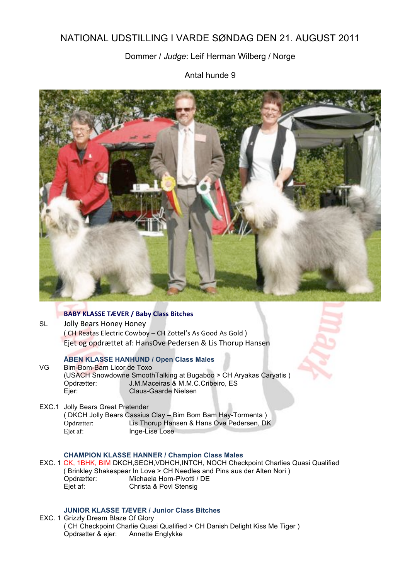# NATIONAL UDSTILLING I VARDE SØNDAG DEN 21. AUGUST 2011

# Dommer / *Judge*: Leif Herman Wilberg / Norge

Antal hunde 9



# **BABY KLASSE TÆVER / Baby Class Bitches**

SL Jolly Bears Honey Honey (CH Reatas Electric Cowboy - CH Zottel's As Good As Gold) Ejet og opdrættet af: HansOve Pedersen & Lis Thorup Hansen

#### **ÅBEN KLASSE HANHUND / Open Class Males**

VG Bim-Bom-Bam Licor de Toxo (USACH Snowdowne SmoothTalking at Bugaboo > CH Aryakas Caryatis ) Opdrætter: J.M.Maceiras & M.M.C.Cribeiro, ES<br>Ejer: Claus-Gaarde Nielsen Claus-Gaarde Nielsen

EXC.1 Jolly Bears Great Pretender ( DKCH Jolly Bears Cassius Clay – Bim Bom Bam Hay-Tormenta ) Opdrætter: Lis Thorup Hansen & Hans Ove Pedersen, DK Ejet af: Inge-Lise Lose

## **CHAMPION KLASSE HANNER / Champion Class Males**

EXC. 1 CK, 1BHK, BIM DKCH,SECH,VDHCH,INTCH, NOCH Checkpoint Charlies Quasi Qualified ( Brinkley Shakespear In Love > CH Needles and Pins aus der Alten Nori ) Opdrætter: Michaela Horn-Pivotti / DE Ejet af: Christa & Povl Stensig

## **JUNIOR KLASSE TÆVER / Junior Class Bitches**

EXC. 1 Grizzly Dream Blaze Of Glory ( CH Checkpoint Charlie Quasi Qualified > CH Danish Delight Kiss Me Tiger ) Opdrætter & ejer: Annette Englykke